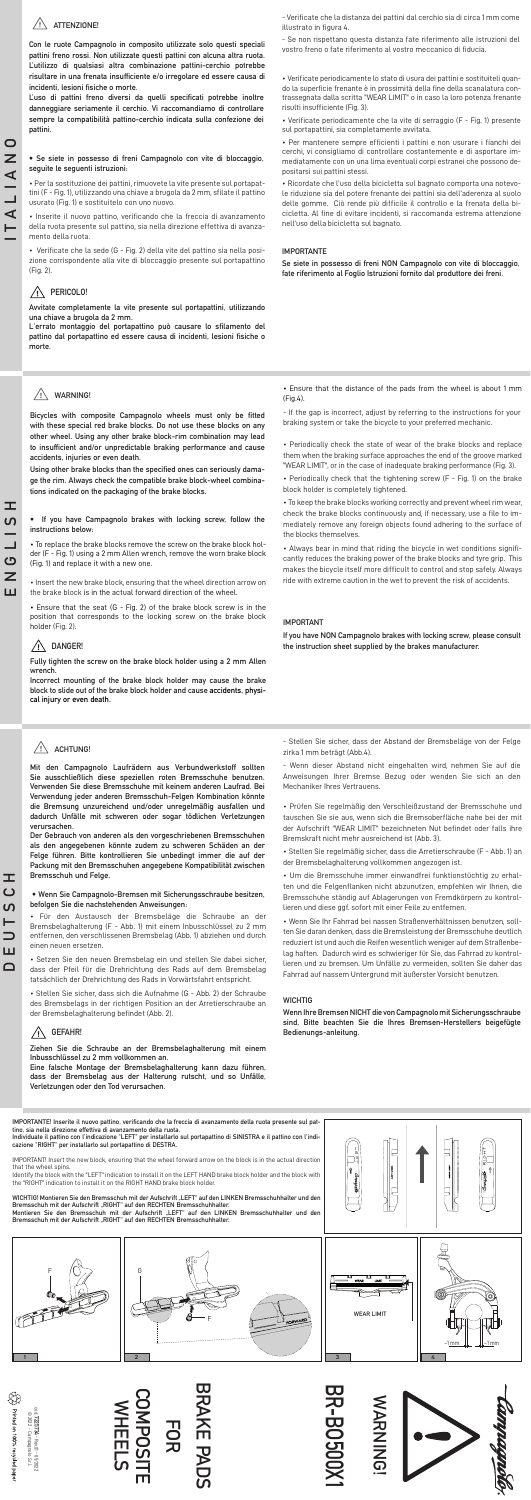## **ATTENZIONE!**

**Con le ruote Campagnolo in composito utilizzate solo questi speciali pattini freno rossi. Non utilizzate questi pattini con alcuna altra ruota. L'utilizzo di qualsiasi altra combinazione pattini-cerchio potrebbe risultare in una frenata insufficiente e/o irregolare ed essere causa di incidenti, lesioni fisiche o morte.** 

**L'uso di pattini freno diversi da quelli specificati potrebbe inoltre danneggiare seriamente il cerchio. Vi raccomandiamo di controllare sempre la compatibilità pattino-cerchio indicata sulla confezione dei pattini.** 

## **• Se siete in possesso di freni Campagnolo con vite di bloccaggio, seguite le seguenti istruzioni:**

• Per la sostituzione dei pattini, rimuovete la vite presente sul portapattini (F - Fig. 1), utilizzando una chiave a brugola da 2 mm, sfilate il pattino usurato (Fig. 1) e sostituitelo con uno nuovo.

• Inserite il nuovo pattino, verificando che la freccia di avanzamento della ruota presente sul pattino, sia nella direzione effettiva di avanzamento della ruota.

• Verificate che la sede (G - Fig. 2) della vite del pattino sia nella posizione corrispondente alla vite di bloccaggio presente sul portapattino (Fig. 2).

## **PERICOLO!**

**Avvitate completamente la vite presente sul portapattini, utilizzando una chiave a brugola da 2 mm.**

**L'errato montaggio del portapattino può causare lo sfilamento del pattino dal portapattino ed essere causa di incidenti, lesioni fisiche o morte.**

## **IMPORTANTE**

**Se siete in possesso di freni NON Campagnolo con vite di bloccaggio, fate riferimento al Foglio Istruzioni fornito dal produttore dei freni.**

• Verificate periodicamente lo stato di usura dei pattini e sostituiteli quando la superficie frenante è in prossimità della fine della scanalatura contrassegnata dalla scritta "WEAR LIMIT" o in caso la loro potenza frenante risulti insufficiente (Fig. 3).

• Verificate periodicamente che la vite di serraggio (F - Fig. 1) presente sul portapattini, sia completamente avvitata.

• Per mantenere sempre efficienti i pattini e non usurare i fianchi dei cerchi, vi consigliamo di controllare costantemente e di asportare immediatamente con un una lima eventuali corpi estranei che possono depositarsi sui pattini stessi.



• Ricordate che l'uso della bicicletta sul bagnato comporta una notevole riduzione sia del potere frenante dei pattini sia dell'aderenza al suolo delle gomme. Ciò rende più difficile il controllo e la frenata della bicicletta. Al fine di evitare incidenti, si raccomanda estrema attenzione nell'uso della bicicletta sul bagnato.

- Verificate che la distanza dei pattini dal cerchio sia di circa 1 mm come illustrato in figura 4.

- Se non rispettano questa distanza fate riferimento alle istruzioni del vostro freno o fate riferimento al vostro meccanico di fiducia.

## **WARNING!**

**Bicycles with composite Campagnolo wheels must only be fitted with these special red brake blocks. Do not use these blocks on any other wheel. Using any other brake block-rim combination may lead to insufficient and/or unpredictable braking performance and cause accidents, injuries or even death.** 

**Using other brake blocks than the specified ones can seriously damage the rim. Always check the compatible brake block-wheel combinations indicated on the packaging of the brake blocks.**

**• If you have Campagnolo brakes with locking screw, follow the instructions below:**

• To replace the brake blocks remove the screw on the brake block holder (F - Fig. 1) using a 2 mm Allen wrench, remove the worn brake block (Fig. 1) and replace it with a new one.

• Insert the new brake block, ensuring that the wheel direction arrow on the brake block is in the actual forward direction of the wheel.

• Ensure that the seat (G - Fig. 2) of the brake block screw is in the position that corresponds to the locking screw on the brake block holder (Fig. 2).

## **DANGER!**

**Fully tighten the screw on the brake block holder using a 2 mm Allen wrench.**

**Incorrect mounting of the brake block holder may cause the brake block to slide out of the brake block holder and cause accidents, physical injury or even death.**

## **IMPORTANT**

**If you have NON Campagnolo brakes with locking screw, please consult the instruction sheet supplied by the brakes manufacturer.**

• Periodically check the state of wear of the brake blocks and replace them when the braking surface approaches the end of the groove marked "WEAR LIMIT", or in the case of inadequate braking performance (Fig. 3).

• Periodically check that the tightening screw (F - Fig. 1) on the brake block holder is completely tightened.

• To keep the brake blocks working correctly and prevent wheel rim wear, check the brake blocks continuously and, if necessary, use a file to immediately remove any foreign objects found adhering to the surface of the blocks themselves.

• Always bear in mind that riding the bicycle in wet conditions significantly reduces the braking power of the brake blocks and tyre grip. This makes the bicycle itself more difficult to control and stop safely. Always ride with extreme caution in the wet to prevent the risk of accidents.

• Ensure that the distance of the pads from the wheel is about 1 mm (Fig.4).

- If the gap is incorrect, adjust by referring to the instructions for your braking system or take the bicycle to your preferred mechanic.



**Mit den Campagnolo Laufrädern aus Verbundwerkstoff sollten Sie ausschließlich diese speziellen roten Bremsschuhe benutzen. Verwenden Sie diese Bremsschuhe mit keinem anderen Laufrad. Bei Verwendung jeder anderen Bremsschuh-Felgen Kombination könnte** 

**die Bremsung unzureichend und/oder unregelmäßig ausfallen und dadurch Unfälle mit schweren oder sogar tödlichen Verletzungen verursachen.** 

**Der Gebrauch von anderen als den vorgeschriebenen Bremsschuhen als den angegebenen könnte zudem zu schweren Schäden an der Felge führen. Bitte kontrollieren Sie unbedingt immer die auf der Packung mit den Bremsschuhen angegebene Kompatibilität zwischen Bremsschuh und Felge.** 

## **• Wenn Sie Campagnolo-Bremsen mit Sicherungsschraube besitzen, befolgen Sie die nachstehenden Anweisungen:**

• Für den Austausch der Bremsbeläge die Schraube an der Bremsbelaghalterung (F - Abb. 1) mit einem Inbusschlüssel zu 2 mm entfernen, den verschlissenen Bremsbelag (Abb. 1) abziehen und durch einen neuen ersetzen.

• Setzen Sie den neuen Bremsbelag ein und stellen Sie dabei sicher, dass der Pfeil für die Drehrichtung des Rads auf dem Bremsbelag tatsächlich der Drehrichtung des Rads in Vorwärtsfahrt entspricht.

• Stellen Sie sicher, dass sich die Aufnahme (G - Abb. 2) der Schraube des Bremsbelags in der richtigen Position an der Arretierschraube an der Bremsbelaghalterung befindet (Abb. 2).

## **GEFAHR!**

**Ziehen Sie die Schraube an der Bremsbelaghalterung mit einem Inbusschlüssel zu 2 mm vollkommen an.**

**Eine falsche Montage der Bremsbelaghalterung kann dazu führen, dass der Bremsbelag aus der Halterung rutscht, und so Unfälle, Verletzungen oder den Tod verursachen.**

## **WICHTIG**

**Wenn Ihre Bremsen NICHT die von Campagnolo mit Sicherungsschraube sind, Bitte beachten Sie die Ihres Bremsen-Herstellers beigefügte Bedienungs-anleitung.**

• Prüfen Sie regelmäßig den Verschleißzustand der Bremsschuhe und tauschen Sie sie aus, wenn sich die Bremsoberfläche nahe bei der mit der Aufschrift "WEAR LIMIT" bezeichneten Nut befindet oder falls ihre Bremskraft nicht mehr ausreichend ist (Abb. 3).

• Stellen Sie regelmäßig sicher, dass die Arretierschraube (F - Abb. 1) an der Bremsbelaghalterung vollkommen angezogen ist.

• Um die Bremsschuhe immer einwandfrei funktionstüchtig zu erhalten und die Felgenflanken nicht abzunutzen, empfehlen wir Ihnen, die Bremsschuhe ständig auf Ablagerungen von Fremdkörpern zu kontrollieren und diese ggf. sofort mit einer Feile zu entfernen.

• Wenn Sie Ihr Fahrrad bei nassen Straßenverhältnissen benutzen, sollten Sie daran denken, dass die Bremsleistung der Bremsschuhe deutlich reduziert ist und auch die Reifen wesentlich weniger auf dem Straßenbelag haften. Dadurch wird es schwieriger für Sie, das Fahrrad zu kontrollieren und zu bremsen. Um Unfälle zu vermeiden, sollten Sie daher das Fahrrad auf nassem Untergrund mit äußerster Vorsicht benutzen.

- Stellen Sie sicher, dass der Abstand der Bremsbeläge von der Felge zirka 1 mm beträgt (Abb.4).

- Wenn dieser Abstand nicht eingehalten wird, nehmen Sie auf die Anweisungen Ihrer Bremse Bezug oder wenden Sie sich an den Mechaniker Ihres Vertrauens.

cod. **7225734**

- Rev.01 - 05/2022



**ITALIANO**

 $\blacktriangleleft$  $\vdash$ 

 $\frac{1}{2}$ 

 $\mathbf{\Omega}$  $\overline{z}$ 

**DEUTSCH**

ᄄ  $\mathbf C$ <u>ທ</u> Н  $\Box$ ш  $\Box$ 

## **BRAKE PADS**

## **FOR COMPOSITE WHEELS**

# **BR-BO500X1**

## **WARNING!**